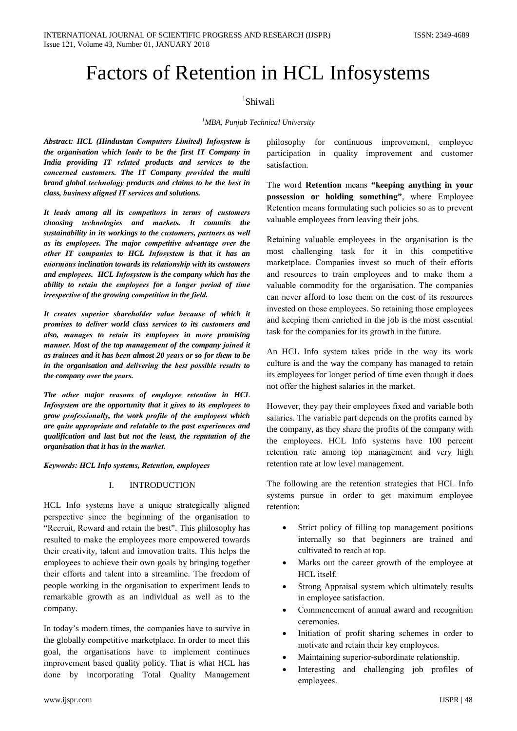# **Factors of Retention in HCL Infosystems**

## <sup>1</sup>Shiwali

### <sup>1</sup>MBA, Punjab Technical University

**Abstract: HCL (Hindustan Computers Limited) Infosystem is** the organisation which leads to be the first IT Company in India providing IT related products and services to the concerned customers. The IT Company provided the multi brand global technology products and claims to be the best in class, business aligned IT services and solutions.

It leads among all its competitors in terms of customers choosing technologies and markets. It commits the sustainability in its workings to the customers, partners as well as its employees. The major competitive advantage over the other IT companies to HCL Infosystem is that it has an enormous inclination towards its relationship with its customers and employees. HCL Infosystem is the company which has the ability to retain the employees for a longer period of time irrespective of the growing competition in the field.

It creates superior shareholder value because of which it promises to deliver world class services to its customers and also, manages to retain its employees in more promising manner. Most of the top management of the company joined it as trainees and it has been almost 20 years or so for them to be in the organisation and delivering the best possible results to the company over the years.

The other major reasons of employee retention in HCL Infosystem are the opportunity that it gives to its employees to grow professionally, the work profile of the employees which are quite appropriate and relatable to the past experiences and qualification and last but not the least, the reputation of the organisation that it has in the market.

Keywords: HCL Info systems, Retention, employees

#### **INTRODUCTION**  $\mathbf{I}$

HCL Info systems have a unique strategically aligned perspective since the beginning of the organisation to "Recruit, Reward and retain the best". This philosophy has resulted to make the employees more empowered towards their creativity, talent and innovation traits. This helps the employees to achieve their own goals by bringing together their efforts and talent into a streamline. The freedom of people working in the organisation to experiment leads to remarkable growth as an individual as well as to the company.

In today's modern times, the companies have to survive in the globally competitive marketplace. In order to meet this goal, the organisations have to implement continues improvement based quality policy. That is what HCL has done by incorporating Total Quality Management

philosophy for continuous improvement. employee quality improvement and participation in customer satisfaction.

The word Retention means "keeping anything in your possession or holding something", where Employee Retention means formulating such policies so as to prevent valuable employees from leaving their jobs.

Retaining valuable employees in the organisation is the most challenging task for it in this competitive marketplace. Companies invest so much of their efforts and resources to train employees and to make them a valuable commodity for the organisation. The companies can never afford to lose them on the cost of its resources invested on those employees. So retaining those employees and keeping them enriched in the job is the most essential task for the companies for its growth in the future.

An HCL Info system takes pride in the way its work culture is and the way the company has managed to retain its employees for longer period of time even though it does not offer the highest salaries in the market.

However, they pay their employees fixed and variable both salaries. The variable part depends on the profits earned by the company, as they share the profits of the company with the employees. HCL Info systems have 100 percent retention rate among top management and very high retention rate at low level management.

The following are the retention strategies that HCL Info systems pursue in order to get maximum employee retention:

- Strict policy of filling top management positions internally so that beginners are trained and cultivated to reach at top.
- Marks out the career growth of the employee at HCL itself.
- Strong Appraisal system which ultimately results in employee satisfaction.
- Commencement of annual award and recognition ceremonies
- $\bullet$ Initiation of profit sharing schemes in order to motivate and retain their key employees.
- Maintaining superior-subordinate relationship.
- Interesting and challenging job profiles of employees.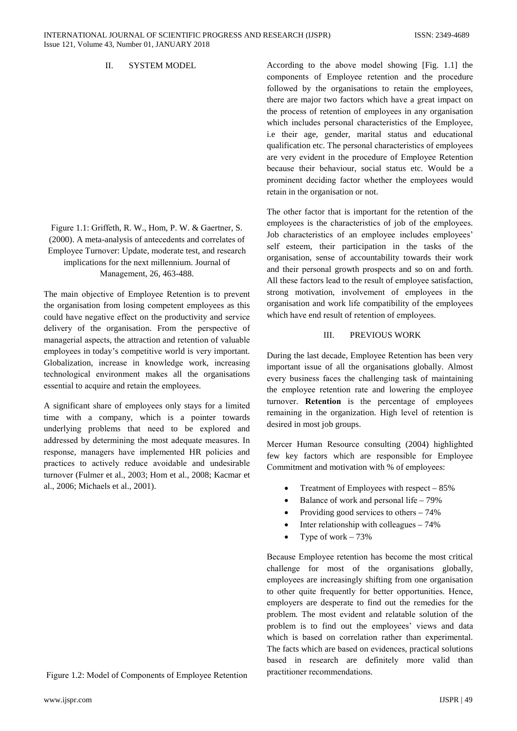#### $\Pi$ **SYSTEM MODEL**

Figure 1.1: Griffeth, R. W., Hom, P. W. & Gaertner, S. (2000). A meta-analysis of antecedents and correlates of Employee Turnover: Update, moderate test, and research implications for the next millennium. Journal of Management, 26, 463-488.

The main objective of Employee Retention is to prevent the organisation from losing competent employees as this could have negative effect on the productivity and service delivery of the organisation. From the perspective of managerial aspects, the attraction and retention of valuable employees in today's competitive world is very important. Globalization, increase in knowledge work, increasing technological environment makes all the organisations essential to acquire and retain the employees.

A significant share of employees only stays for a limited time with a company, which is a pointer towards underlying problems that need to be explored and addressed by determining the most adequate measures. In response, managers have implemented HR policies and practices to actively reduce avoidable and undesirable turnover (Fulmer et al., 2003; Hom et al., 2008; Kacmar et al., 2006; Michaels et al., 2001).

Figure 1.2: Model of Components of Employee Retention

According to the above model showing [Fig. 1.1] the components of Employee retention and the procedure followed by the organisations to retain the employees, there are major two factors which have a great impact on the process of retention of employees in any organisation which includes personal characteristics of the Employee, i.e their age, gender, marital status and educational qualification etc. The personal characteristics of employees are very evident in the procedure of Employee Retention because their behaviour, social status etc. Would be a prominent deciding factor whether the employees would retain in the organisation or not.

The other factor that is important for the retention of the employees is the characteristics of job of the employees. Job characteristics of an employee includes employees' self esteem, their participation in the tasks of the organisation, sense of accountability towards their work and their personal growth prospects and so on and forth. All these factors lead to the result of employee satisfaction, strong motivation, involvement of employees in the organisation and work life compatibility of the employees which have end result of retention of employees.

#### $III$ PREVIOUS WORK

During the last decade, Employee Retention has been very important issue of all the organisations globally. Almost every business faces the challenging task of maintaining the employee retention rate and lowering the employee turnover. Retention is the percentage of employees remaining in the organization. High level of retention is desired in most job groups.

Mercer Human Resource consulting (2004) highlighted few key factors which are responsible for Employee Commitment and motivation with % of employees:

- Treatment of Employees with respect  $-85%$
- $\bullet$ Balance of work and personal life – 79%
- Providing good services to others  $-74\%$  $\bullet$
- Inter relationship with colleagues  $-74%$
- Type of work  $-73%$  $\bullet$

Because Employee retention has become the most critical challenge for most of the organisations globally, employees are increasingly shifting from one organisation to other quite frequently for better opportunities. Hence, employers are desperate to find out the remedies for the problem. The most evident and relatable solution of the problem is to find out the employees' views and data which is based on correlation rather than experimental. The facts which are based on evidences, practical solutions based in research are definitely more valid than practitioner recommendations.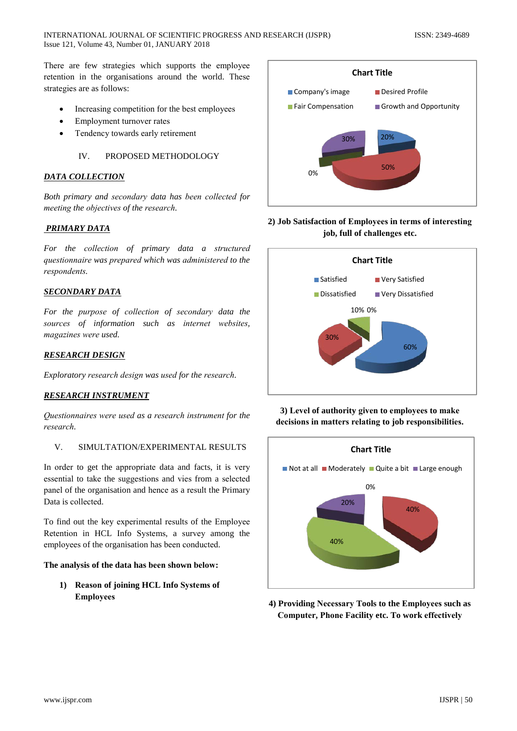There are few strategies which supports the employee retention in the organisations around the world. These strategies are as follows:

- Increasing competition for the best employees
- Employment turnover rates
- Tendency towards early retirement

#### IV. PROPOSED METHODOLOGY

### **DATA COLLECTION**

Both primary and secondary data has been collected for meeting the objectives of the research.

### **PRIMARY DATA**

For the collection of primary data a structured questionnaire was prepared which was administered to the respondents.

### **SECONDARY DATA**

For the purpose of collection of secondary data the sources of information such as internet websites, magazines were used.

### **RESEARCH DESIGN**

Exploratory research design was used for the research.

### **RESEARCH INSTRUMENT**

Questionnaires were used as a research instrument for the research.

#### $\mathbf{V}$ SIMULTATION/EXPERIMENTAL RESULTS

In order to get the appropriate data and facts, it is very essential to take the suggestions and vies from a selected panel of the organisation and hence as a result the Primary Data is collected.

To find out the key experimental results of the Employee Retention in HCL Info Systems, a survey among the employees of the organisation has been conducted.

### The analysis of the data has been shown below:

1) Reason of joining HCL Info Systems of **Employees** 



### 2) Job Satisfaction of Employees in terms of interesting job, full of challenges etc.



3) Level of authority given to employees to make decisions in matters relating to job responsibilities.



4) Providing Necessary Tools to the Employees such as **Computer, Phone Facility etc. To work effectively**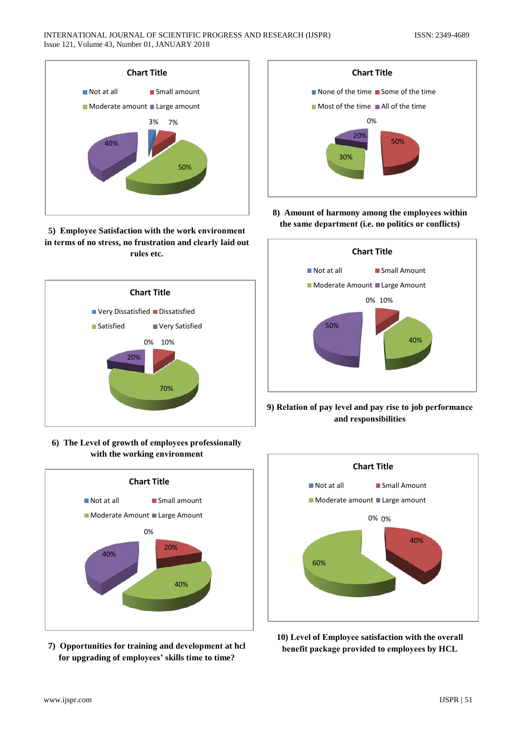

5) Employee Satisfaction with the work environment in terms of no stress, no frustration and clearly laid out rules etc.



6) The Level of growth of employees professionally with the working environment



7) Opportunities for training and development at hcl for upgrading of employees' skills time to time?



8) Amount of harmony among the employees within the same department (i.e. no politics or conflicts)



9) Relation of pay level and pay rise to job performance and responsibilities



10) Level of Employee satisfaction with the overall benefit package provided to employees by HCL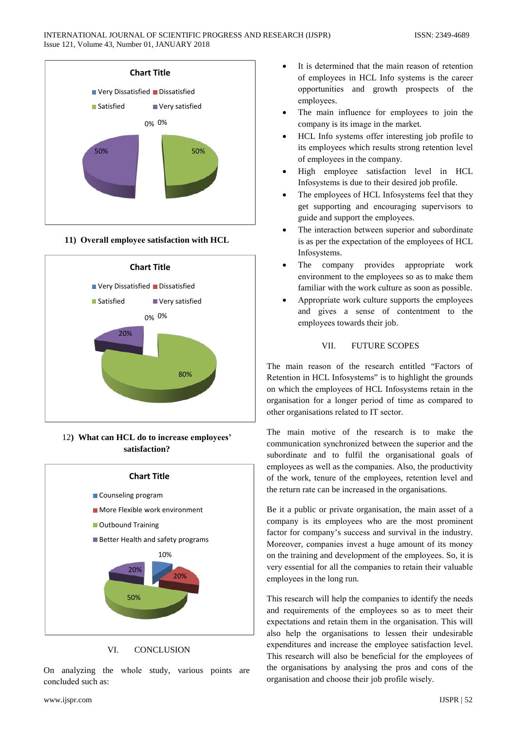

11) Overall employee satisfaction with HCL



12) What can HCL do to increase employees' satisfaction?



#### VI. **CONCLUSION**

On analyzing the whole study, various points are concluded such as:

- It is determined that the main reason of retention of employees in HCL Info systems is the career opportunities and growth prospects of the employees.
- The main influence for employees to join the company is its image in the market.
- HCL Info systems offer interesting job profile to its employees which results strong retention level of employees in the company.
- High employee satisfaction level in HCL Infosystems is due to their desired job profile.
- The employees of HCL Infosystems feel that they get supporting and encouraging supervisors to guide and support the employees.
- The interaction between superior and subordinate is as per the expectation of the employees of HCL Infosystems.
- The company provides appropriate work  $\bullet$ environment to the employees so as to make them familiar with the work culture as soon as possible.
- Appropriate work culture supports the employees and gives a sense of contentment to the employees towards their job.

#### VII. **FUTURE SCOPES**

The main reason of the research entitled "Factors of Retention in HCL Infosystems" is to highlight the grounds on which the employees of HCL Infosystems retain in the organisation for a longer period of time as compared to other organisations related to IT sector.

The main motive of the research is to make the communication synchronized between the superior and the subordinate and to fulfil the organisational goals of employees as well as the companies. Also, the productivity of the work, tenure of the employees, retention level and the return rate can be increased in the organisations.

Be it a public or private organisation, the main asset of a company is its employees who are the most prominent factor for company's success and survival in the industry. Moreover, companies invest a huge amount of its money on the training and development of the employees. So, it is very essential for all the companies to retain their valuable employees in the long run.

This research will help the companies to identify the needs and requirements of the employees so as to meet their expectations and retain them in the organisation. This will also help the organisations to lessen their undesirable expenditures and increase the employee satisfaction level. This research will also be beneficial for the employees of the organisations by analysing the pros and cons of the organisation and choose their job profile wisely.